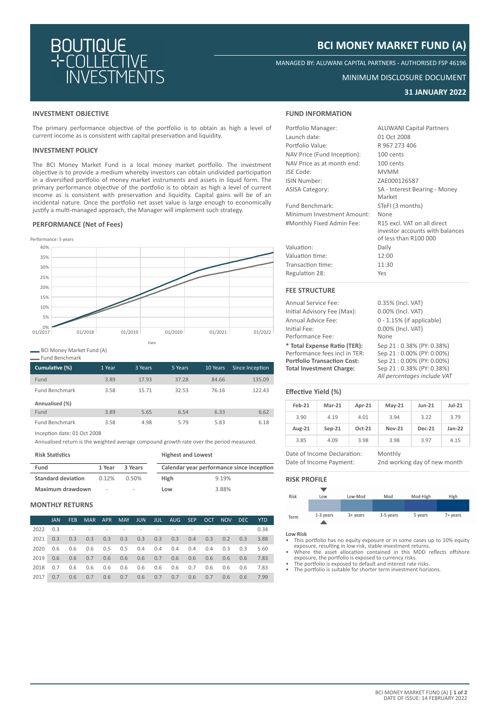

# **BCI MONEY MARKET FUND (A)**

MANAGED BY: ALUWANI CAPITAL PARTNERS - AUTHORISED FSP 46196

### MINIMUM DISCLOSURE DOCUMENT

# **31 JANUARY 2022**

### **INVESTMENT OBJECTIVE**

The primary performance objective of the portfolio is to obtain as high a level of current income as is consistent with capital preservation and liquidity.

# **INVESTMENT POLICY**

The BCI Money Market Fund is a local money market portfolio. The investment objective is to provide a medium whereby investors can obtain undivided participation in a diversified portfolio of money market instruments and assets in liquid form. The primary performance objective of the portfolio is to obtain as high a level of current income as is consistent with preservation and liquidity. Capital gains will be of an incidental nature. Once the portfolio net asset value is large enough to economically justify a multi-managed approach, the Manager will implement such strategy.

## **PERFORMANCE (Net of Fees)**



BCI Money Market Fund (A)

Fund Benchmark

| Cumulative (%)        | 1 Year | 3 Years | 5 Years | 10 Years | Since Inception |
|-----------------------|--------|---------|---------|----------|-----------------|
| Fund                  | 3.89   | 17.93   | 37.28   | 84.66    | 135.09          |
| <b>Fund Benchmark</b> | 3.58   | 15.71   | 32.53   | 76.16    | 122.43          |
| Annualised (%)        |        |         |         |          |                 |
| Fund                  | 3.89   | 5.65    | 6.54    | 6.33     | 6.62            |
| <b>Fund Benchmark</b> | 3.58   | 4.98    | 5.79    | 5.83     | 6.18            |

Inception date: 01 Oct 2008

Annualised return is the weighted average compound growth rate over the period measured.

| <b>Risk Statistics</b>    |        |                          | <b>Highest and Lowest</b> |                                           |  |  |
|---------------------------|--------|--------------------------|---------------------------|-------------------------------------------|--|--|
| Fund                      | 1 Year | 3 Years                  |                           | Calendar year performance since inception |  |  |
| <b>Standard deviation</b> | 0.12%  | 0.50%                    | <b>High</b>               | 9.19%                                     |  |  |
| Maximum drawdown          | ٠      | $\overline{\phantom{a}}$ | Low                       | 3.88%                                     |  |  |

### **MONTHLY RETURNS**

|          | <b>JAN</b> | FEB |                                                                                                                 |  |  | MAR APR MAY JUN JUL AUG SEP OCT NOV DEC YTD |  |           |      |
|----------|------------|-----|-----------------------------------------------------------------------------------------------------------------|--|--|---------------------------------------------|--|-----------|------|
| 2022 0.3 |            |     | the contract of the contract of the contract of the contract of the contract of the contract of the contract of |  |  |                                             |  |           | 0.34 |
|          |            |     | 2021 0.3 0.3 0.3 0.3 0.3 0.3 0.3 0.3 0.4 0.3 0.2 0.3                                                            |  |  |                                             |  |           | 3.88 |
| 2020     |            |     | 0.6 0.6 0.6 0.5 0.5 0.4 0.4 0.4 0.4 0.4 0.3 0.3                                                                 |  |  |                                             |  |           | 5.60 |
|          |            |     |                                                                                                                 |  |  |                                             |  |           | 7.83 |
| 2018     |            |     | 0.7 0.6 0.6 0.6 0.6 0.6 0.6 0.6 0.7 0.6 0.6 0.6 7.83                                                            |  |  |                                             |  |           |      |
| 2017     | 0.7        |     | $0.6$ 0.7 0.6 0.7 0.6 0.7 0.7 0.6 0.7                                                                           |  |  |                                             |  | $0.6$ 0.6 | 7.99 |

### **FUND INFORMATION**

| Portfolio Manager:          | <b>ALUWANI Capital Partners</b> |
|-----------------------------|---------------------------------|
| Launch date:                | 01 Oct 2008                     |
| Portfolio Value:            | R 967 273 406                   |
| NAV Price (Fund Inception): | 100 cents                       |
| NAV Price as at month end:  | 100 cents                       |
| JSE Code:                   | <b>MVMM</b>                     |
| ISIN Number:                | ZAE000126587                    |
| <b>ASISA Category:</b>      | SA - Interest Bearing - Money   |
|                             | Market                          |
| Fund Benchmark:             | STeFI (3 months)                |
| Minimum Investment Amount:  | None                            |
| #Monthly Fixed Admin Fee:   | R15 excl. VAT on all direct     |
|                             | investor accounts with balances |
|                             | of less than R100 000           |
| Valuation:                  | Daily                           |
| Valuation time:             | 12:00                           |
| Transaction time:           | 11:30                           |
| Regulation 28:              | Yes                             |
| <b>FEE STRUCTURE</b>        |                                 |

| <b>Annual Service Fee:</b>         | 0.35% (Incl. VAT)            |
|------------------------------------|------------------------------|
| Initial Advisory Fee (Max):        | 0.00% (Incl. VAT)            |
| Annual Advice Fee:                 | $0 - 1.15\%$ (if applicable) |
| Initial Fee:                       | 0.00% (Incl. VAT)            |
| Performance Fee:                   | None                         |
| * Total Expense Ratio (TER):       | Sep 21:0.38% (PY: 0.38%)     |
| Performance fees incl in TER:      | Sep 21:0.00% (PY: 0.00%)     |
| <b>Portfolio Transaction Cost:</b> | Sep 21:0.00% (PY: 0.00%)     |
| <b>Total Investment Charge:</b>    | Sep 21:0.38% (PY: 0.38%)     |
|                                    | All novembrono include 1/A   |

| 0.35% (Incl. VAT)           |
|-----------------------------|
| 0.00% (Incl. VAT)           |
| 0 - 1.15% (if applicable)   |
| 0.00% (Incl. VAT)           |
| None                        |
| Sep 21:0.38% (PY: 0.38%)    |
| Sep 21:0.00% (PY: 0.00%)    |
| Sep 21:0.00% (PY: 0.00%)    |
| Sep 21:0.38% (PY: 0.38%)    |
| All percentages include VAT |

#### **Effective Yield (%)**

| $Feb-21$ | $Mar-21$ | Apr-21   | $May-21$      | $Jun-21$      | $Jul-21$ |
|----------|----------|----------|---------------|---------------|----------|
| 3.90     | 4.19     | 4.01     | 3.94          | 3.22          | 3.79     |
| Aug-21   | $Sep-21$ | $Oct-21$ | <b>Nov-21</b> | <b>Dec-21</b> | $Jan-22$ |
| 3.85     | 4.09     | 3.98     | 3.98          | 3.97          | 4.15     |

Date of Income Declaration: Monthly Date of Income Payment: 2nd working day of new month

# **RISK PROFILE**



**Low Risk**

- This portfolio has no equity exposure or in some cases up to 10% equity exposure, resulting in low risk, stable investment returns. • Where the asset allocation contained in this MDD reflects offshore
- exposure, the portfolio is exposed to currency risks. • The portfolio is exposed to default and interest rate risks.
- The portfolio is suitable for shorter term investment horizons.